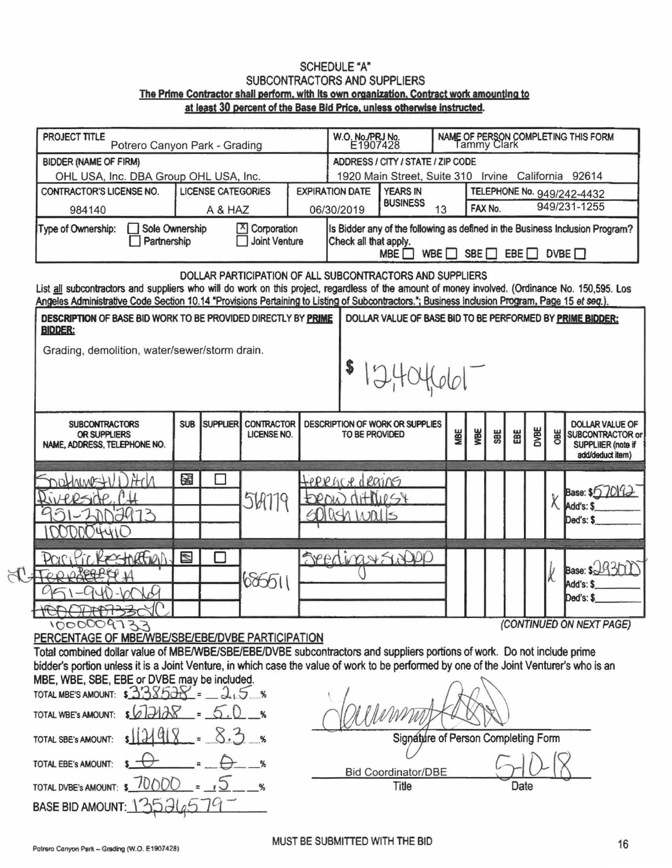## **SCHEDULE "A"** SUBCONTRACTORS AND SUPPLIERS The Prime Contractor shall perform, with its own organization, Contract work amounting to at least 30 percent of the Base Bid Price, unless otherwise instructed.

| PROJECT TITLE<br>Potrero Canyon Park - Grading                                                                                                                                                                                                                                                    | W.O. No./PRJ No.<br>E1907428<br>NAME OF PERSON COMPLETING THIS FORM<br>Tammy Clark |                                                                                                                                                                           |                                         |                                                                                            |                                                     |                                                          |     |                         |            |      |             |            |                                                                                      |
|---------------------------------------------------------------------------------------------------------------------------------------------------------------------------------------------------------------------------------------------------------------------------------------------------|------------------------------------------------------------------------------------|---------------------------------------------------------------------------------------------------------------------------------------------------------------------------|-----------------------------------------|--------------------------------------------------------------------------------------------|-----------------------------------------------------|----------------------------------------------------------|-----|-------------------------|------------|------|-------------|------------|--------------------------------------------------------------------------------------|
| <b>BIDDER (NAME OF FIRM)</b>                                                                                                                                                                                                                                                                      |                                                                                    |                                                                                                                                                                           |                                         |                                                                                            | ADDRESS / CITY / STATE / ZIP CODE                   |                                                          |     |                         |            |      |             |            |                                                                                      |
| OHL USA, Inc. DBA Group OHL USA, Inc.                                                                                                                                                                                                                                                             |                                                                                    |                                                                                                                                                                           |                                         |                                                                                            | 1920 Main Street, Suite 310 Irvine California 92614 |                                                          |     |                         |            |      |             |            |                                                                                      |
| <b>LICENSE CATEGORIES</b><br>CONTRACTOR'S LICENSE NO.                                                                                                                                                                                                                                             |                                                                                    |                                                                                                                                                                           |                                         | <b>EXPIRATION DATE</b><br><b>YEARS IN</b><br>TELEPHONE No. 949/242-4432<br><b>BUSINESS</b> |                                                     |                                                          |     |                         |            |      |             |            |                                                                                      |
| 984140                                                                                                                                                                                                                                                                                            |                                                                                    |                                                                                                                                                                           |                                         | 06/30/2019<br>A & HAZ                                                                      |                                                     |                                                          | 13  | 949/231-1255<br>FAX No. |            |      |             |            |                                                                                      |
| Type of Ownership:<br>Sole Ownership<br>Partnership                                                                                                                                                                                                                                               | X Corporation<br><b>Joint Venture</b>                                              | Is Bidder any of the following as defined in the Business Inclusion Program?<br>Check all that apply.<br>WBE $\Box$ SBE $\Box$<br>EBE <sup>[]</sup><br>DVBE<br><b>MBE</b> |                                         |                                                                                            |                                                     |                                                          |     |                         |            |      |             |            |                                                                                      |
| List all subcontractors and suppliers who will do work on this project, regardless of the amount of money involved. (Ordinance No. 150,595. Los<br>Angeles Administrative Code Section 10.14 "Provisions Pertaining to Listing of Subcontractors."; Business Inclusion Program, Page 15 et seq.). |                                                                                    |                                                                                                                                                                           |                                         |                                                                                            |                                                     | DOLLAR PARTICIPATION OF ALL SUBCONTRACTORS AND SUPPLIERS |     |                         |            |      |             |            |                                                                                      |
| DESCRIPTION OF BASE BID WORK TO BE PROVIDED DIRECTLY BY PRIME<br><b>BIDDER:</b>                                                                                                                                                                                                                   |                                                                                    |                                                                                                                                                                           |                                         |                                                                                            |                                                     |                                                          |     |                         |            |      |             |            | DOLLAR VALUE OF BASE BID TO BE PERFORMED BY PRIME BIDDER:                            |
| Grading, demolition, water/sewer/storm drain.                                                                                                                                                                                                                                                     |                                                                                    |                                                                                                                                                                           |                                         |                                                                                            |                                                     |                                                          |     |                         |            |      |             |            |                                                                                      |
|                                                                                                                                                                                                                                                                                                   |                                                                                    |                                                                                                                                                                           |                                         |                                                                                            |                                                     | 12,404661                                                |     |                         |            |      |             |            |                                                                                      |
| <b>SUBCONTRACTORS</b><br>OR SUPPLIERS<br>NAME, ADDRESS, TELEPHONE NO.                                                                                                                                                                                                                             | <b>SUB</b>                                                                         | <b>SUPPLIER</b>                                                                                                                                                           | <b>CONTRACTOR</b><br><b>LICENSE NO.</b> |                                                                                            | TO BE PROVIDED                                      | DESCRIPTION OF WORK OR SUPPLIES                          | MBE | WBE                     | <b>SBE</b> | 甾    | <b>DVBE</b> | <b>OBE</b> | <b>DOLLAR VALUE OF</b><br>SUBCONTRACTOR or<br>SUPPLIIER (note if<br>add/deduct item) |
| H N<br>DOMAWE+1                                                                                                                                                                                                                                                                                   | 图                                                                                  |                                                                                                                                                                           |                                         |                                                                                            | terrace dearns                                      |                                                          |     |                         |            |      |             |            |                                                                                      |
|                                                                                                                                                                                                                                                                                                   |                                                                                    |                                                                                                                                                                           |                                         |                                                                                            | DROW CHAIRSY                                        |                                                          |     |                         |            |      |             |            | Base: \$6,7019                                                                       |
| ィス                                                                                                                                                                                                                                                                                                |                                                                                    |                                                                                                                                                                           | 569779                                  |                                                                                            | $0$ lûski kapills                                   |                                                          |     |                         |            |      |             | X          | Add's: \$                                                                            |
|                                                                                                                                                                                                                                                                                                   |                                                                                    |                                                                                                                                                                           |                                         |                                                                                            |                                                     |                                                          |     |                         |            |      |             |            | Ded's: \$                                                                            |
|                                                                                                                                                                                                                                                                                                   |                                                                                    |                                                                                                                                                                           |                                         |                                                                                            |                                                     |                                                          |     |                         |            |      |             |            |                                                                                      |
| RestratEND.                                                                                                                                                                                                                                                                                       | N                                                                                  |                                                                                                                                                                           |                                         |                                                                                            |                                                     | SeedinavSwapp                                            |     |                         |            |      |             |            |                                                                                      |
|                                                                                                                                                                                                                                                                                                   |                                                                                    |                                                                                                                                                                           | 686511                                  |                                                                                            |                                                     |                                                          |     |                         |            |      |             | k          | Base: S.J.H.                                                                         |
|                                                                                                                                                                                                                                                                                                   |                                                                                    |                                                                                                                                                                           |                                         |                                                                                            |                                                     |                                                          |     |                         |            |      |             |            | Add's: S<br>Ded's: \$                                                                |
| HOOCHROBSOLU                                                                                                                                                                                                                                                                                      |                                                                                    |                                                                                                                                                                           |                                         |                                                                                            |                                                     |                                                          |     |                         |            |      |             |            |                                                                                      |
| 1000009733                                                                                                                                                                                                                                                                                        |                                                                                    |                                                                                                                                                                           |                                         |                                                                                            |                                                     |                                                          |     |                         |            |      |             |            | (CONTINUED ON NEXT PAGE)                                                             |
| PERCENTAGE OF MBE/WBE/SBE/EBE/DVBE PARTICIPATION                                                                                                                                                                                                                                                  |                                                                                    |                                                                                                                                                                           |                                         |                                                                                            |                                                     |                                                          |     |                         |            |      |             |            |                                                                                      |
| Total combined dollar value of MBE/WBE/SBE/EBE/DVBE subcontractors and suppliers portions of work. Do not include prime                                                                                                                                                                           |                                                                                    |                                                                                                                                                                           |                                         |                                                                                            |                                                     |                                                          |     |                         |            |      |             |            |                                                                                      |
| bidder's portion unless it is a Joint Venture, in which case the value of work to be performed by one of the Joint Venturer's who is an<br>MBE, WBE, SBE, EBE or DVBE may be included.                                                                                                            |                                                                                    |                                                                                                                                                                           |                                         |                                                                                            |                                                     |                                                          |     |                         |            |      |             |            |                                                                                      |
| TOTAL MBE'S AMOUNT: $33357 - 2.5$ %                                                                                                                                                                                                                                                               |                                                                                    |                                                                                                                                                                           |                                         |                                                                                            |                                                     |                                                          |     |                         |            |      |             |            |                                                                                      |
| 7128<br>TOTAL WBE's AMOUNT:                                                                                                                                                                                                                                                                       |                                                                                    |                                                                                                                                                                           |                                         |                                                                                            |                                                     |                                                          |     |                         |            |      |             |            |                                                                                      |
| TOTAL SBE's AMOUNT:                                                                                                                                                                                                                                                                               |                                                                                    |                                                                                                                                                                           |                                         |                                                                                            |                                                     | Signature of Person Completing Form                      |     |                         |            |      |             |            |                                                                                      |
| TOTAL EBE's AMOUNT:<br><b>Bid Coordinator/DBE</b>                                                                                                                                                                                                                                                 |                                                                                    |                                                                                                                                                                           |                                         |                                                                                            |                                                     |                                                          |     |                         |            |      |             |            |                                                                                      |
| JUD(D()<br>TOTAL DVBE's AMOUNT: \$                                                                                                                                                                                                                                                                |                                                                                    |                                                                                                                                                                           |                                         |                                                                                            |                                                     | Title                                                    |     |                         |            | Date |             |            |                                                                                      |
| BASE BID AMOUNT: 135266                                                                                                                                                                                                                                                                           |                                                                                    |                                                                                                                                                                           |                                         |                                                                                            |                                                     |                                                          |     |                         |            |      |             |            |                                                                                      |